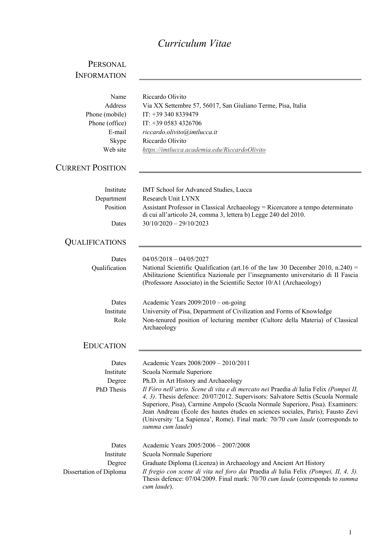# *Curriculum Vitae*

## PERSONAL INFORMATION

| Name<br>Address<br>Phone (mobile)<br>Phone (office)<br>E-mail<br>Skype<br>Web site | Riccardo Olivito<br>Via XX Settembre 57, 56017, San Giuliano Terme, Pisa, Italia<br>IT: +39 340 8339479<br>IT: $+3905834326706$<br>riccardo.olivito@imtlucca.it<br>Riccardo Olivito<br>https://imtlucca.academia.edu/RiccardoOlivito                                                                                                                                                                                                                                                                                                                           |
|------------------------------------------------------------------------------------|----------------------------------------------------------------------------------------------------------------------------------------------------------------------------------------------------------------------------------------------------------------------------------------------------------------------------------------------------------------------------------------------------------------------------------------------------------------------------------------------------------------------------------------------------------------|
| <b>CURRENT POSITION</b>                                                            |                                                                                                                                                                                                                                                                                                                                                                                                                                                                                                                                                                |
| Institute<br>Department<br>Position<br>Dates<br><b>QUALIFICATIONS</b>              | IMT School for Advanced Studies, Lucca<br>Research Unit LYNX<br>Assistant Professor in Classical Archaeology = Ricercatore a tempo determinato<br>di cui all'articolo 24, comma 3, lettera b) Legge 240 del 2010.<br>$30/10/2020 - 29/10/2023$                                                                                                                                                                                                                                                                                                                 |
| Dates<br>Qualification                                                             | $04/05/2018 - 04/05/2027$<br>National Scientific Qualification (art.16 of the law 30 December 2010, n.240) =<br>Abilitazione Scientifica Nazionale per l'insegnamento universitario di II Fascia<br>(Professore Associato) in the Scientific Sector 10/A1 (Archaeology)                                                                                                                                                                                                                                                                                        |
| Dates<br>Institute<br>Role                                                         | Academic Years $2009/2010 -$ on-going<br>University of Pisa, Department of Civilization and Forms of Knowledge<br>Non-tenured position of lecturing member (Cultore della Materia) of Classical<br>Archaeology                                                                                                                                                                                                                                                                                                                                                 |
| <b>EDUCATION</b>                                                                   |                                                                                                                                                                                                                                                                                                                                                                                                                                                                                                                                                                |
| Dates<br>Institute<br>Degree<br>PhD Thesis                                         | Academic Years 2008/2009 - 2010/2011<br>Scuola Normale Superiore<br>Ph.D. in Art History and Archaeology<br>Il Fòro nell'atrio. Scene di vita e di mercato nei Praedia di Iulia Felix (Pompei II,<br>4, 3). Thesis defence: 20/07/2012. Supervisors: Salvatore Settis (Scuola Normale<br>Superiore, Pisa), Carmine Ampolo (Scuola Normale Superiore, Pisa). Examiners:<br>Jean Andreau (École des hautes études en sciences sociales, Paris); Fausto Zevi<br>(University 'La Sapienza', Rome). Final mark: 70/70 cum laude (corresponds to<br>summa cum laude) |
| Dates<br>Institute<br>Degree<br>Dissertation of Diploma                            | Academic Years 2005/2006 - 2007/2008<br>Scuola Normale Superiore<br>Graduate Diploma (Licenza) in Archaeology and Ancient Art History<br>Il fregio con scene di vita nel foro dai Praedia di Iulia Felix (Pompei, II, 4, 3).<br>Thesis defence: 07/04/2009. Final mark: 70/70 cum laude (corresponds to summa<br>cum laude).                                                                                                                                                                                                                                   |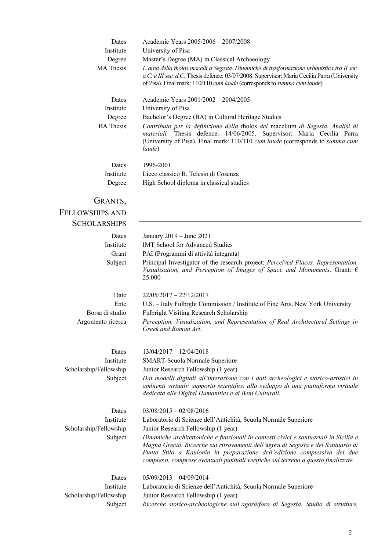| Dates<br>Institute<br>Degree<br>MA Thesis        | Academic Years 2005/2006 - 2007/2008<br>University of Pisa<br>Master's Degree (MA) in Classical Archaeology<br>L'area della tholos macelli a Segesta. Dinamiche di trasformazione urbanistica tra II sec.<br>a.C. e III sec. d.C. Thesis defence: 03/07/2008. Supervisor: Maria Cecilia Parra (University<br>of Pisa). Final mark: 110/110 cum laude (corresponds to summa cum laude) |
|--------------------------------------------------|---------------------------------------------------------------------------------------------------------------------------------------------------------------------------------------------------------------------------------------------------------------------------------------------------------------------------------------------------------------------------------------|
| Dates<br>Institute<br>Degree<br><b>BA</b> Thesis | Academic Years 2001/2002 - 2004/2005<br>University of Pisa<br>Bachelor's Degree (BA) in Cultural Heritage Studies<br>Contributo per la definizione della tholos del macellum di Segesta. Analisi di<br>materiali. Thesis defence: 14/06/2005. Supervisor: Maria Cecilia Parra<br>(University of Pisa). Final mark: 110/110 cum laude (corresponds to summa cum<br>laude)              |
| Dates                                            | 1996-2001                                                                                                                                                                                                                                                                                                                                                                             |
| Institute                                        | Liceo classico B. Telesio di Cosenza                                                                                                                                                                                                                                                                                                                                                  |
| Degree                                           | High School diploma in classical studies                                                                                                                                                                                                                                                                                                                                              |
| GRANTS,                                          |                                                                                                                                                                                                                                                                                                                                                                                       |
|                                                  |                                                                                                                                                                                                                                                                                                                                                                                       |
| <b>FELLOWSHIPS AND</b>                           |                                                                                                                                                                                                                                                                                                                                                                                       |
| <b>SCHOLARSHIPS</b>                              |                                                                                                                                                                                                                                                                                                                                                                                       |
| Dates                                            | January 2019 - June 2021                                                                                                                                                                                                                                                                                                                                                              |
| Institute                                        | <b>IMT School for Advanced Studies</b>                                                                                                                                                                                                                                                                                                                                                |
| Grant                                            | PAI (Programmi di attività integrata)                                                                                                                                                                                                                                                                                                                                                 |
| Subject                                          | Principal Investigator of the research project: Perceived Places. Representation,<br>Visualisation, and Perception of Images of Space and Monuments. Grant: $\epsilon$<br>25.000                                                                                                                                                                                                      |
| Date                                             | $22/05/2017 - 22/12/2017$                                                                                                                                                                                                                                                                                                                                                             |
| Ente                                             | U.S. - Italy Fulbrght Commission / Institute of Fine Arts, New York University                                                                                                                                                                                                                                                                                                        |
| Borsa di studio                                  | Fulbright Visiting Research Scholarship                                                                                                                                                                                                                                                                                                                                               |
| Argomento ricerca                                | Perception, Visualization, and Representation of Real Architectural Settings in<br>Greek and Roman Art.                                                                                                                                                                                                                                                                               |
| Dates                                            | $13/04/2017 - 12/04/2018$                                                                                                                                                                                                                                                                                                                                                             |
| Institute                                        | SMART-Scuola Normale Superiore                                                                                                                                                                                                                                                                                                                                                        |
| Scholarship/Fellowship                           | Junior Research Fellowship (1 year)                                                                                                                                                                                                                                                                                                                                                   |
| Subject                                          | Dai modelli digitali all'interazione con i dati archeologici e storico-artistici in<br>ambienti virtuali: supporto scientifico allo sviluppo di una piattaforma virtuale<br>dedicata alle Digital Humanities e ai Beni Culturali.                                                                                                                                                     |
| Dates                                            | $03/08/2015 - 02/08/2016$                                                                                                                                                                                                                                                                                                                                                             |
| Institute                                        | Laboratorio di Scienze dell'Antichità, Scuola Normale Superiore                                                                                                                                                                                                                                                                                                                       |
| Scholarship/Fellowship                           | Junior Research Fellowship (1 year)                                                                                                                                                                                                                                                                                                                                                   |
| Subject                                          | Dinamiche architettoniche e funzionali in contesti civici e santuariali in Sicilia e<br>Magna Grecia. Ricerche sui ritrovamenti dell'agora di Segesta e del Santuario di<br>Punta Stilo a Kaulonia in preparazione dell'edizione complessiva dei due<br>complessi, comprese eventuali puntuali verifiche sul terreno a questo finalizzate.                                            |
| Dates                                            | $05/09/2013 - 04/09/2014$                                                                                                                                                                                                                                                                                                                                                             |
| Institute                                        | Laboratorio di Scienze dell'Antichità, Scuola Normale Superiore                                                                                                                                                                                                                                                                                                                       |
| Scholarship/Fellowship                           | Junior Research Fellowship (1 year)                                                                                                                                                                                                                                                                                                                                                   |
| Subject                                          | Ricerche storico-archeologiche sull'agorà/foro di Segesta. Studio di strutture,                                                                                                                                                                                                                                                                                                       |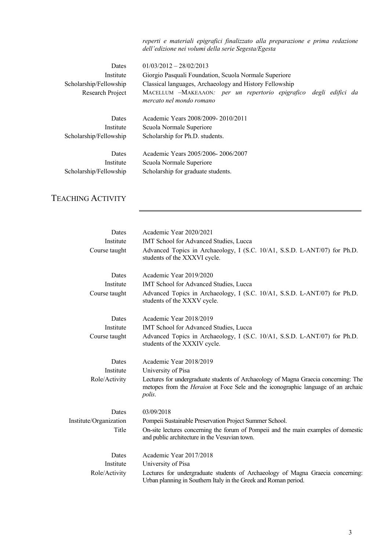*reperti e materiali epigrafici finalizzato alla preparazione e prima redazione dell'edizione nei volumi della serie Segesta/Egesta*

| Dates<br>Institute<br>Scholarship/Fellowship | $01/03/2012 - 28/02/2013$<br>Giorgio Pasquali Foundation, Scuola Normale Superiore<br>Classical languages, Archaeology and History Fellowship |
|----------------------------------------------|-----------------------------------------------------------------------------------------------------------------------------------------------|
| Research Project                             | MACELLUM -MAKEAAON: per un repertorio epigrafico<br>degli edifici da<br>mercato nel mondo romano                                              |
| Dates                                        | Academic Years 2008/2009-2010/2011                                                                                                            |
| Institute                                    | Scuola Normale Superiore                                                                                                                      |
| Scholarship/Fellowship                       | Scholarship for Ph.D. students.                                                                                                               |
| Dates                                        | Academic Years 2005/2006-2006/2007                                                                                                            |
| Institute                                    | Scuola Normale Superiore                                                                                                                      |
| Scholarship/Fellowship                       | Scholarship for graduate students.                                                                                                            |

## TEACHING ACTIVITY

| Dates                  | Academic Year 2020/2021                                                                                                                                                                   |
|------------------------|-------------------------------------------------------------------------------------------------------------------------------------------------------------------------------------------|
| Institute              | IMT School for Advanced Studies, Lucca                                                                                                                                                    |
| Course taught          | Advanced Topics in Archaeology, I (S.C. 10/A1, S.S.D. L-ANT/07) for Ph.D.<br>students of the XXXVI cycle.                                                                                 |
| Dates                  | Academic Year 2019/2020                                                                                                                                                                   |
| Institute              | IMT School for Advanced Studies, Lucca                                                                                                                                                    |
| Course taught          | Advanced Topics in Archaeology, I (S.C. 10/A1, S.S.D. L-ANT/07) for Ph.D.<br>students of the XXXV cycle.                                                                                  |
| Dates                  | Academic Year 2018/2019                                                                                                                                                                   |
| Institute              | IMT School for Advanced Studies, Lucca                                                                                                                                                    |
| Course taught          | Advanced Topics in Archaeology, I (S.C. 10/A1, S.S.D. L-ANT/07) for Ph.D.<br>students of the XXXIV cycle.                                                                                 |
| Dates                  | Academic Year 2018/2019                                                                                                                                                                   |
| Institute              | University of Pisa                                                                                                                                                                        |
| Role/Activity          | Lectures for undergraduate students of Archaeology of Magna Graecia concerning: The<br>metopes from the <i>Heraion</i> at Foce Sele and the iconographic language of an archaic<br>polis. |
| Dates                  | 03/09/2018                                                                                                                                                                                |
| Institute/Organization | Pompeii Sustainable Preservation Project Summer School.                                                                                                                                   |
| Title                  | On-site lectures concerning the forum of Pompeii and the main examples of domestic<br>and public architecture in the Vesuvian town.                                                       |
| Dates                  | Academic Year 2017/2018                                                                                                                                                                   |
| Institute              | University of Pisa                                                                                                                                                                        |
| Role/Activity          | Lectures for undergraduate students of Archaeology of Magna Graecia concerning:<br>Urban planning in Southern Italy in the Greek and Roman period.                                        |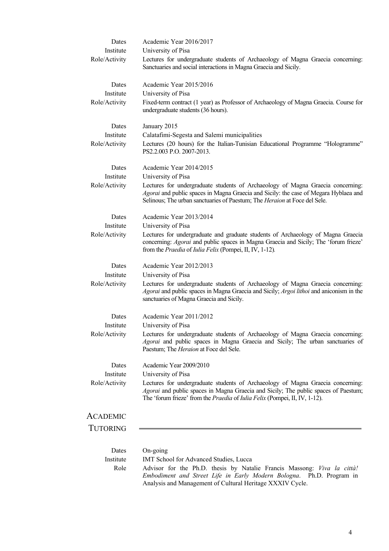| Dates<br>Institute | Academic Year 2016/2017<br>University of Pisa                                                                                                                                                                                                                             |
|--------------------|---------------------------------------------------------------------------------------------------------------------------------------------------------------------------------------------------------------------------------------------------------------------------|
| Role/Activity      | Lectures for undergraduate students of Archaeology of Magna Graecia concerning:<br>Sanctuaries and social interactions in Magna Graecia and Sicily.                                                                                                                       |
| Dates              | Academic Year 2015/2016                                                                                                                                                                                                                                                   |
| Institute          | University of Pisa                                                                                                                                                                                                                                                        |
| Role/Activity      | Fixed-term contract (1 year) as Professor of Archaeology of Magna Graecia. Course for<br>undergraduate students (36 hours).                                                                                                                                               |
| Dates              | January 2015                                                                                                                                                                                                                                                              |
| Institute          | Calatafimi-Segesta and Salemi municipalities                                                                                                                                                                                                                              |
| Role/Activity      | Lectures (20 hours) for the Italian-Tunisian Educational Programme "Hologramme"<br>PS2.2.003 P.O. 2007-2013.                                                                                                                                                              |
| Dates              | Academic Year 2014/2015                                                                                                                                                                                                                                                   |
| Institute          | University of Pisa                                                                                                                                                                                                                                                        |
| Role/Activity      | Lectures for undergraduate students of Archaeology of Magna Graecia concerning:<br>Agorai and public spaces in Magna Graecia and Sicily: the case of Megara Hyblaea and<br>Selinous; The urban sanctuaries of Paestum; The Heraion at Foce del Sele.                      |
| Dates              | Academic Year 2013/2014                                                                                                                                                                                                                                                   |
| Institute          | University of Pisa                                                                                                                                                                                                                                                        |
| Role/Activity      | Lectures for undergraduate and graduate students of Archaeology of Magna Graecia<br>concerning: Agorai and public spaces in Magna Graecia and Sicily; The 'forum frieze'<br>from the Praedia of Iulia Felix (Pompei, II, IV, 1-12).                                       |
| Dates              | Academic Year 2012/2013                                                                                                                                                                                                                                                   |
| Institute          | University of Pisa                                                                                                                                                                                                                                                        |
| Role/Activity      | Lectures for undergraduate students of Archaeology of Magna Graecia concerning:<br>Agorai and public spaces in Magna Graecia and Sicily; Argoi lithoi and aniconism in the<br>sanctuaries of Magna Graecia and Sicily.                                                    |
| Dates              | Academic Year 2011/2012                                                                                                                                                                                                                                                   |
| Institute          | University of Pisa                                                                                                                                                                                                                                                        |
| Role/Activity      | Lectures for undergraduate students of Archaeology of Magna Graecia concerning:<br>Agorai and public spaces in Magna Graecia and Sicily; The urban sanctuaries of<br>Paestum; The <i>Heraion</i> at Foce del Sele.                                                        |
| Dates              | Academic Year 2009/2010                                                                                                                                                                                                                                                   |
| Institute          | University of Pisa                                                                                                                                                                                                                                                        |
| Role/Activity      | Lectures for undergraduate students of Archaeology of Magna Graecia concerning:<br><i>Agorai</i> and public spaces in Magna Graecia and Sicily; The public spaces of Paestum;<br>The 'forum frieze' from the <i>Praedia</i> of <i>Iulia Felix</i> (Pompei, II, IV, 1-12). |
| ACADEMIC           |                                                                                                                                                                                                                                                                           |
| TUTORING           |                                                                                                                                                                                                                                                                           |
|                    |                                                                                                                                                                                                                                                                           |
| Dates              | On-going                                                                                                                                                                                                                                                                  |
| Institute          | IMT School for Advanced Studies, Lucca                                                                                                                                                                                                                                    |
| Role               | Advisor for the Ph.D. thesis by Natalie Francis Massong: Viva la città!                                                                                                                                                                                                   |
|                    | Embodiment and Street Life in Early Modern Bologna. Ph.D. Program in<br>Analysis and Management of Cultural Heritage XXXIV Cycle.                                                                                                                                         |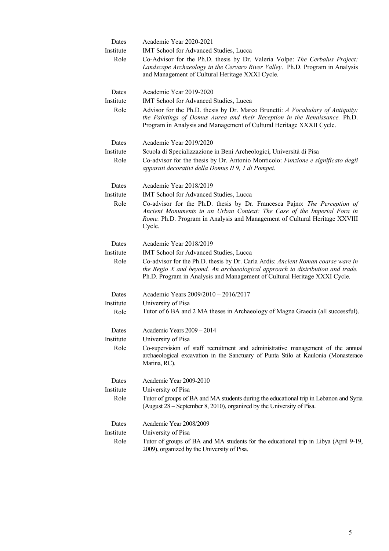| Dates     | Academic Year 2020-2021                                                                                                                                                                                                                        |
|-----------|------------------------------------------------------------------------------------------------------------------------------------------------------------------------------------------------------------------------------------------------|
| Institute | IMT School for Advanced Studies, Lucca                                                                                                                                                                                                         |
| Role      | Co-Advisor for the Ph.D. thesis by Dr. Valeria Volpe: The Cerbalus Project:<br>Landscape Archaeology in the Cervaro River Valley. Ph.D. Program in Analysis<br>and Management of Cultural Heritage XXXI Cycle.                                 |
| Dates     | Academic Year 2019-2020                                                                                                                                                                                                                        |
| Institute | IMT School for Advanced Studies, Lucca                                                                                                                                                                                                         |
| Role      | Advisor for the Ph.D. thesis by Dr. Marco Brunetti: A Vocabulary of Antiquity:<br>the Paintings of Domus Aurea and their Reception in the Renaissance. Ph.D.<br>Program in Analysis and Management of Cultural Heritage XXXII Cycle.           |
| Dates     | Academic Year 2019/2020                                                                                                                                                                                                                        |
| Institute | Scuola di Specializzazione in Beni Archeologici, Università di Pisa                                                                                                                                                                            |
| Role      | Co-advisor for the thesis by Dr. Antonio Monticolo: Funzione e significato degli<br>apparati decorativi della Domus II 9, 1 di Pompei.                                                                                                         |
| Dates     | Academic Year 2018/2019                                                                                                                                                                                                                        |
| Institute | IMT School for Advanced Studies, Lucca                                                                                                                                                                                                         |
| Role      | Co-advisor for the Ph.D. thesis by Dr. Francesca Pajno: The Perception of<br>Ancient Monuments in an Urban Context: The Case of the Imperial Fora in<br>Rome. Ph.D. Program in Analysis and Management of Cultural Heritage XXVIII<br>Cycle.   |
| Dates     | Academic Year 2018/2019                                                                                                                                                                                                                        |
| Institute | IMT School for Advanced Studies, Lucca                                                                                                                                                                                                         |
| Role      | Co-advisor for the Ph.D. thesis by Dr. Carla Ardis: Ancient Roman coarse ware in<br>the Regio X and beyond. An archaeological approach to distribution and trade.<br>Ph.D. Program in Analysis and Management of Cultural Heritage XXXI Cycle. |
| Dates     | Academic Years 2009/2010 - 2016/2017                                                                                                                                                                                                           |
| Institute | University of Pisa                                                                                                                                                                                                                             |
| Role      | Tutor of 6 BA and 2 MA theses in Archaeology of Magna Graecia (all successful).                                                                                                                                                                |
| Dates     | Academic Years 2009 - 2014                                                                                                                                                                                                                     |
| Institute | University of Pisa                                                                                                                                                                                                                             |
| Role      | Co-supervision of staff recruitment and administrative management of the annual<br>archaeological excavation in the Sanctuary of Punta Stilo at Kaulonia (Monasterace<br>Marina, RC).                                                          |
| Dates     | Academic Year 2009-2010                                                                                                                                                                                                                        |
| Institute | University of Pisa                                                                                                                                                                                                                             |
| Role      | Tutor of groups of BA and MA students during the educational trip in Lebanon and Syria<br>(August 28 – September 8, 2010), organized by the University of Pisa.                                                                                |
| Dates     | Academic Year 2008/2009                                                                                                                                                                                                                        |
| Institute | University of Pisa                                                                                                                                                                                                                             |
| Role      | Tutor of groups of BA and MA students for the educational trip in Libya (April 9-19,<br>2009), organized by the University of Pisa.                                                                                                            |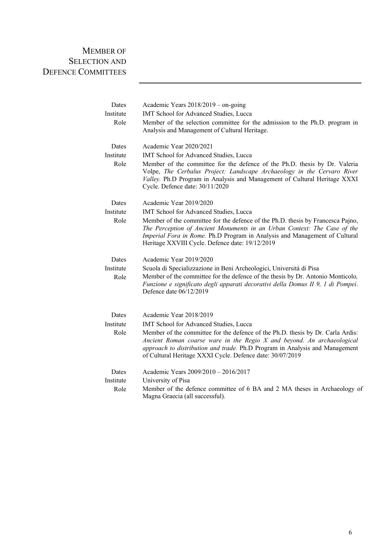## MEMBER OF SELECTION AND DEFENCE COMMITTEES

| Dates             | Academic Years 2018/2019 – on-going                                                                                                                                                                                                                                                                   |
|-------------------|-------------------------------------------------------------------------------------------------------------------------------------------------------------------------------------------------------------------------------------------------------------------------------------------------------|
| Institute<br>Role | IMT School for Advanced Studies, Lucca<br>Member of the selection committee for the admission to the Ph.D. program in<br>Analysis and Management of Cultural Heritage.                                                                                                                                |
| Dates             | Academic Year 2020/2021                                                                                                                                                                                                                                                                               |
| Institute         | IMT School for Advanced Studies, Lucca                                                                                                                                                                                                                                                                |
| Role              | Member of the committee for the defence of the Ph.D. thesis by Dr. Valeria<br>Volpe, The Cerbalus Project: Landscape Archaeology in the Cervaro River<br>Valley. Ph.D Program in Analysis and Management of Cultural Heritage XXXI<br>Cycle. Defence date: 30/11/2020                                 |
| Dates             | Academic Year 2019/2020                                                                                                                                                                                                                                                                               |
| Institute         | IMT School for Advanced Studies, Lucca                                                                                                                                                                                                                                                                |
| Role              | Member of the committee for the defence of the Ph.D. thesis by Francesca Pajno,<br>The Perception of Ancient Monuments in an Urban Context: The Case of the<br>Imperial Fora in Rome. Ph.D Program in Analysis and Management of Cultural<br>Heritage XXVIII Cycle. Defence date: 19/12/2019          |
| Dates             | Academic Year 2019/2020                                                                                                                                                                                                                                                                               |
| Institute<br>Role | Scuola di Specializzazione in Beni Archeologici, Università di Pisa<br>Member of the committee for the defence of the thesis by Dr. Antonio Monticolo,<br>Funzione e significato degli apparati decorativi della Domus II 9, 1 di Pompei.<br>Defence date 06/12/2019                                  |
| Dates             | Academic Year 2018/2019                                                                                                                                                                                                                                                                               |
| Institute         | IMT School for Advanced Studies, Lucca                                                                                                                                                                                                                                                                |
| Role              | Member of the committee for the defence of the Ph.D. thesis by Dr. Carla Ardis:<br>Ancient Roman coarse ware in the Regio X and beyond. An archaeological<br>approach to distribution and trade. Ph.D Program in Analysis and Management<br>of Cultural Heritage XXXI Cycle. Defence date: 30/07/2019 |
| Dates             | Academic Years 2009/2010 - 2016/2017                                                                                                                                                                                                                                                                  |
| Institute         | University of Pisa                                                                                                                                                                                                                                                                                    |
| Role              | Member of the defence committee of 6 BA and 2 MA theses in Archaeology of<br>Magna Graecia (all successful).                                                                                                                                                                                          |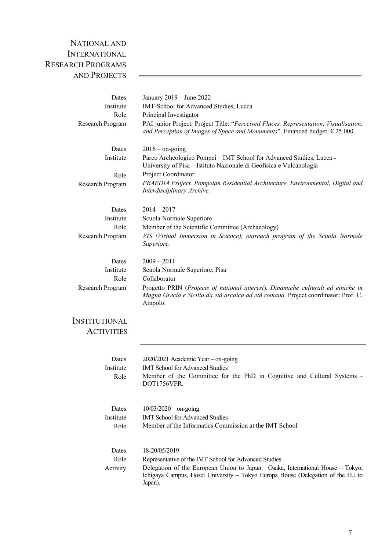## NATIONAL AND INTERNATIONAL RESEARCH PROGRAMS AND PROJECTS

| Dates            | January 2019 - June 2022                                                                                                                                                          |
|------------------|-----------------------------------------------------------------------------------------------------------------------------------------------------------------------------------|
| Institute        | IMT-School for Advanced Studies, Lucca                                                                                                                                            |
| Role             | Principal Investigator                                                                                                                                                            |
| Research Program | PAI junior Project. Project Title: "Perceived Places. Representation, Visualisation,<br>and Perception of Images of Space and Monuments". Financed budget: $\epsilon$ 25.000.     |
| Dates            | $2016 -$ on-going                                                                                                                                                                 |
| Institute        | Parco Archeologico Pompei - IMT School for Advanced Studies, Lucca -<br>University of Pisa – Istituto Nazionale di Geofisica e Vulcanologia                                       |
| Role             | Project Coordinator                                                                                                                                                               |
| Research Program | PRAEDIA Project. Pompeian Residential Architecture. Environmental, Digital and<br>Interdisciplinary Archive.                                                                      |
| Dates            | $2014 - 2017$                                                                                                                                                                     |
| Institute        | Scuola Normale Superiore                                                                                                                                                          |
| Role             | Member of the Scientific Committee (Archaeology)                                                                                                                                  |
| Research Program | VIS (Virtual Immersion in Science), outreach program of the Scuola Normale<br>Superiore.                                                                                          |
| Dates            | $2009 - 2011$                                                                                                                                                                     |
| Institute        | Scuola Normale Superiore, Pisa                                                                                                                                                    |
| Role             | Collaborator                                                                                                                                                                      |
| Research Program | Progetto PRIN (Projects of national interest), Dinamiche culturali ed etniche in<br>Magna Grecia e Sicilia da età arcaica ad età romana. Project coordinator: Prof. C.<br>Ampolo. |

## INSTITUTIONAL **ACTIVITIES**

| Dates<br>Institute<br>Role | $2020/2021$ Academic Year – on-going<br><b>IMT School for Advanced Studies</b><br>Member of the Committee for the PhD in Cognitive and Cultural Systems -<br>DOT1756VFR.                                                                               |
|----------------------------|--------------------------------------------------------------------------------------------------------------------------------------------------------------------------------------------------------------------------------------------------------|
| Dates<br>Institute<br>Role | $10/03/2020 -$ on-going<br><b>IMT</b> School for Advanced Studies<br>Member of the Informatics Commission at the IMT School.                                                                                                                           |
| Dates<br>Role<br>Activity  | 18-20/05/2019<br>Representative of the IMT School for Advanced Studies<br>Delegation of the European Union to Japan. Osaka, International House - Tokyo,<br>Ichigaya Campus, Hosei University – Tokyo Europa House (Delegation of the EU to<br>Japan). |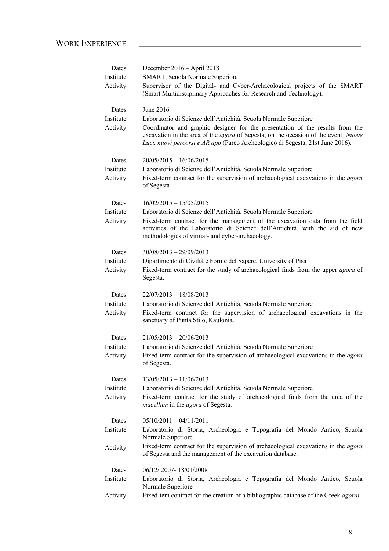# WORK EXPERIENCE

| Dates     | December $2016 - April 2018$                                                                                                                                                                                                                           |
|-----------|--------------------------------------------------------------------------------------------------------------------------------------------------------------------------------------------------------------------------------------------------------|
| Institute | SMART, Scuola Normale Superiore                                                                                                                                                                                                                        |
| Activity  | Supervisor of the Digital- and Cyber-Archaeological projects of the SMART<br>(Smart Multidisciplinary Approaches for Research and Technology).                                                                                                         |
| Dates     | June 2016                                                                                                                                                                                                                                              |
| Institute | Laboratorio di Scienze dell'Antichità, Scuola Normale Superiore                                                                                                                                                                                        |
| Activity  | Coordinator and graphic designer for the presentation of the results from the<br>excavation in the area of the agora of Segesta, on the occasion of the event: Nuove<br>Luci, nuovi percorsi e AR app (Parco Archeologico di Segesta, 21st June 2016). |
| Dates     | $20/05/2015 - 16/06/2015$                                                                                                                                                                                                                              |
| Institute | Laboratorio di Scienze dell'Antichità, Scuola Normale Superiore                                                                                                                                                                                        |
| Activity  | Fixed-term contract for the supervision of archaeological excavations in the agora<br>of Segesta                                                                                                                                                       |
| Dates     | $16/02/2015 - 15/05/2015$                                                                                                                                                                                                                              |
| Institute | Laboratorio di Scienze dell'Antichità, Scuola Normale Superiore                                                                                                                                                                                        |
| Activity  | Fixed-term contract for the management of the excavation data from the field<br>activities of the Laboratorio di Scienze dell'Antichità, with the aid of new<br>methodologies of virtual- and cyber-archaeology.                                       |
| Dates     | $30/08/2013 - 29/09/2013$                                                                                                                                                                                                                              |
| Institute | Dipartimento di Civiltà e Forme del Sapere, University of Pisa                                                                                                                                                                                         |
| Activity  | Fixed-term contract for the study of archaeological finds from the upper agora of<br>Segesta.                                                                                                                                                          |
| Dates     | $22/07/2013 - 18/08/2013$                                                                                                                                                                                                                              |
| Institute | Laboratorio di Scienze dell'Antichità, Scuola Normale Superiore                                                                                                                                                                                        |
| Activity  | Fixed-term contract for the supervision of archaeological excavations in the<br>sanctuary of Punta Stilo, Kaulonia.                                                                                                                                    |
| Dates     | $21/05/2013 - 20/06/2013$                                                                                                                                                                                                                              |
| Institute | Laboratorio di Scienze dell'Antichità, Scuola Normale Superiore                                                                                                                                                                                        |
| Activity  | Fixed-term contract for the supervision of archaeological excavations in the agora<br>of Segesta.                                                                                                                                                      |
| Dates     | $13/05/2013 - 11/06/2013$                                                                                                                                                                                                                              |
| Institute | Laboratorio di Scienze dell'Antichità, Scuola Normale Superiore                                                                                                                                                                                        |
| Activity  | Fixed-term contract for the study of archaeological finds from the area of the<br>macellum in the agora of Segesta.                                                                                                                                    |
| Dates     | $05/10/2011 - 04/11/2011$                                                                                                                                                                                                                              |
| Institute | Laboratorio di Storia, Archeologia e Topografia del Mondo Antico, Scuola<br>Normale Superiore                                                                                                                                                          |
| Activity  | Fixed-term contract for the supervision of archaeological excavations in the agora<br>of Segesta and the management of the excavation database.                                                                                                        |
| Dates     | 06/12/2007-18/01/2008                                                                                                                                                                                                                                  |
| Institute | Laboratorio di Storia, Archeologia e Topografia del Mondo Antico, Scuola<br>Normale Superiore                                                                                                                                                          |
| Activity  | Fixed-tem contract for the creation of a bibliographic database of the Greek agorai                                                                                                                                                                    |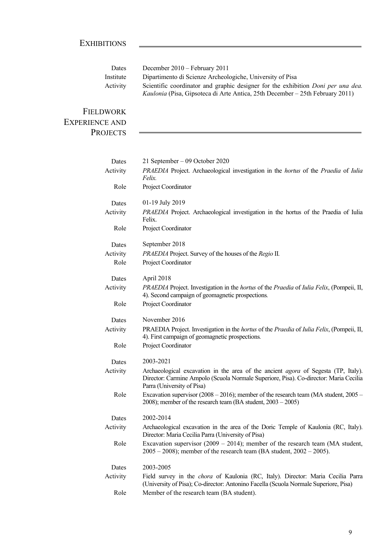## **EXHIBITIONS**

| Dates                 | December $2010$ – February 2011                                                                                                                                           |
|-----------------------|---------------------------------------------------------------------------------------------------------------------------------------------------------------------------|
| Institute             | Dipartimento di Scienze Archeologiche, University of Pisa                                                                                                                 |
| Activity              | Scientific coordinator and graphic designer for the exhibition <i>Doni per una dea</i> .<br>Kaulonia (Pisa, Gipsoteca di Arte Antica, 25th December – 25th February 2011) |
| FIELDWORK             |                                                                                                                                                                           |
| <b>EXPERIENCE AND</b> |                                                                                                                                                                           |
| <b>PROJECTS</b>       |                                                                                                                                                                           |

| Dates    | 21 September – 09 October 2020                                                                                                                                                                            |
|----------|-----------------------------------------------------------------------------------------------------------------------------------------------------------------------------------------------------------|
| Activity | PRAEDIA Project. Archaeological investigation in the <i>hortus</i> of the <i>Praedia</i> of <i>Iulia</i><br>Felix.                                                                                        |
| Role     | Project Coordinator                                                                                                                                                                                       |
| Dates    | 01-19 July 2019                                                                                                                                                                                           |
| Activity | PRAEDIA Project. Archaeological investigation in the hortus of the Praedia of Iulia<br>Felix.                                                                                                             |
| Role     | Project Coordinator                                                                                                                                                                                       |
| Dates    | September 2018                                                                                                                                                                                            |
| Activity | PRAEDIA Project. Survey of the houses of the Regio II.                                                                                                                                                    |
| Role     | Project Coordinator                                                                                                                                                                                       |
| Dates    | April 2018                                                                                                                                                                                                |
| Activity | <i>PRAEDIA</i> Project. Investigation in the <i>hortus</i> of the <i>Praedia</i> of <i>Iulia Felix</i> , (Pompeii, II,                                                                                    |
| Role     | 4). Second campaign of geomagnetic prospections.<br>Project Coordinator                                                                                                                                   |
|          |                                                                                                                                                                                                           |
| Dates    | November 2016                                                                                                                                                                                             |
| Activity | PRAEDIA Project. Investigation in the <i>hortus</i> of the <i>Praedia</i> of <i>Iulia Felix</i> , (Pompeii, II,<br>4). First campaign of geomagnetic prospections.                                        |
| Role     | Project Coordinator                                                                                                                                                                                       |
| Dates    | 2003-2021                                                                                                                                                                                                 |
| Activity | Archaeological excavation in the area of the ancient agora of Segesta (TP, Italy).<br>Director: Carmine Ampolo (Scuola Normale Superiore, Pisa). Co-director: Maria Cecilia<br>Parra (University of Pisa) |
| Role     | Excavation supervisor (2008 – 2016); member of the research team (MA student, $2005 -$<br>2008); member of the research team (BA student, $2003 - 2005$ )                                                 |
| Dates    | 2002-2014                                                                                                                                                                                                 |
| Activity | Archaeological excavation in the area of the Doric Temple of Kaulonia (RC, Italy).<br>Director: Maria Cecilia Parra (University of Pisa)                                                                  |
| Role     | Excavation supervisor $(2009 - 2014)$ ; member of the research team (MA student,<br>$2005 - 2008$ ; member of the research team (BA student, $2002 - 2005$ ).                                             |
| Dates    | 2003-2005                                                                                                                                                                                                 |
| Activity | Field survey in the <i>chora</i> of Kaulonia (RC, Italy). Director: Maria Cecilia Parra<br>(University of Pisa); Co-director: Antonino Facella (Scuola Normale Superiore, Pisa)                           |
| Role     | Member of the research team (BA student).                                                                                                                                                                 |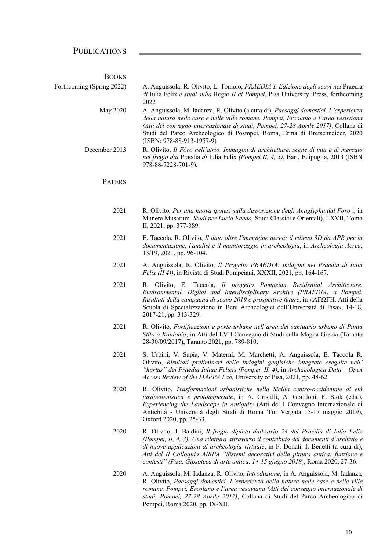| <b>BOOKS</b>              |                                                                                                                                                                                                                                                                                                                                                                                                                                             |
|---------------------------|---------------------------------------------------------------------------------------------------------------------------------------------------------------------------------------------------------------------------------------------------------------------------------------------------------------------------------------------------------------------------------------------------------------------------------------------|
| Forthcoming (Spring 2022) | A. Anguissola, R. Olivito, L. Toniolo, PRAEDIA I. Edizione degli scavi nei Praedia<br>di Iulia Felix e studi sulla Regio II di Pompei, Pisa University. Press, forthcoming<br>2022                                                                                                                                                                                                                                                          |
| May 2020                  | A. Anguissola, M. Iadanza, R. Olivito (a cura di), Paesaggi domestici. L'esperienza<br>della natura nelle case e nelle ville romane. Pompei, Ercolano e l'area vesuviana<br>(Atti del convegno internazionale di studi, Pompei, 27-28 Aprile 2017), Collana di<br>Studi del Parco Archeologico di Posmpei, Roma, Erma di Bretschneider, 2020<br>$(ISBN: 978-88-913-1957-9)$                                                                 |
| December 2013             | R. Olivito, Il Fòro nell'atrio. Immagini di architetture, scene di vita e di mercato<br>nel fregio dai Praedia di Iulia Felix (Pompei II, 4, 3), Bari, Edipuglia, 2013 (ISBN<br>978-88-7228-701-9).                                                                                                                                                                                                                                         |
| <b>PAPERS</b>             |                                                                                                                                                                                                                                                                                                                                                                                                                                             |
| 2021                      | R. Olivito, Per una nuova ipotesi sulla disposizione degli Anaglypha dal Foro i, in<br>Munera Musarum. Studi per Lucia Faedo, Studi Classici e Orientali), LXVII, Tomo<br>II, 2021, pp. 377-389.                                                                                                                                                                                                                                            |
| 2021                      | E. Taccola, R. Olivito, Il dato oltre l'immagine aerea: il rilievo 3D da APR per la<br>documentazione, l'analisi e il monitoraggio in archeologia, in Archeologia Aerea,<br>13/19, 2021, pp. 96-104.                                                                                                                                                                                                                                        |
| 2021                      | A. Anguissola, R. Olivito, Il Progetto PRAEDIA: indagini nei Praedia di Iulia<br>Felix (II 4)), in Rivista di Studi Pompeiani, XXXII, 2021, pp. 164-167.                                                                                                                                                                                                                                                                                    |
| 2021                      | R. Olivito, E. Taccola, Il progetto Pompeian Residential Architecture.<br>Environmental, Digital and Interdisciplinary Archive (PRAEDIA) a Pompei.<br>Risultati della campagna di scavo 2019 e prospettive future, in «ΑΓΩΓΗ. Atti della<br>Scuola di Specializzazione in Beni Archeologici dell'Università di Pisa», 14-18,<br>2017-21, pp. 313-329.                                                                                       |
| 2021                      | R. Olivito, Fortificazioni e porte urbane nell'area del santuario urbano di Punta<br>Stilo a Kaulonia, in Atti del LVII Convegno di Studi sulla Magna Grecia (Taranto<br>28-30/09/2017), Taranto 2021, pp. 789-810.                                                                                                                                                                                                                         |
| 2021                      | S. Urbini, V. Sapia, V. Materni, M. Marchetti, A. Anguissola, E. Taccola R.<br>Olivito, Risultati preliminari delle indagini geofisiche integrate eseguite nell'<br>"hortus" dei Praedia Iuliae Felicis (Pompei, II, 4), in Archaeologica Data - Open<br>Access Review of the MAPPA Lab, University of Pisa, 2021, pp. 48-62.                                                                                                               |
| 2020                      | R. Olivito, Trasformazioni urbanistiche nella Sicilia centro-occidentale di età<br>tardoellenistica e protoimperiale, in A. Cristilli, A. Gonfloni, F. Stok (eds.),<br><i>Experiencing the Landscape in Antiquity</i> (Atti del I Convegno Internazionale di<br>Antichità - Università degli Studi di Roma 'Tor Vergata 15-17 maggio 2019),<br>Oxford 2020, pp. 25-33.                                                                      |
| 2020                      | R. Olivito, J. Baldini, Il fregio dipinto dall'atrio 24 dei Praedia di Iulia Felix<br>(Pompei, II, 4, 3). Una rilettura attraverso il contributo dei documenti d'archivio e<br>di nuove applicazioni di archeologia virtuale, in F. Donati, I. Benetti (a cura di),<br>Atti del II Colloquio AIRPA "Sistemi decorativi della pittura antica: funzione e<br>contesti" (Pisa, Gipsoteca di arte antica, 14-15 giugno 2018), Roma 2020, 27-36. |
| 2020                      | A. Anguissola, M. Iadanza, R. Olivito, <i>Introduzione</i> , in A. Anguissola, M. Iadanza,<br>R. Olivito, Paesaggi domestici. L'esperienza della natura nelle case e nelle ville<br>romane. Pompei, Ercolano e l'area vesuviana (Atti del convegno internazionale di                                                                                                                                                                        |

Pompei, Roma 2020, pp. IX-XII.

*studi, Pompei, 27-28 Aprile 2017)*, Collana di Studi del Parco Archeologico di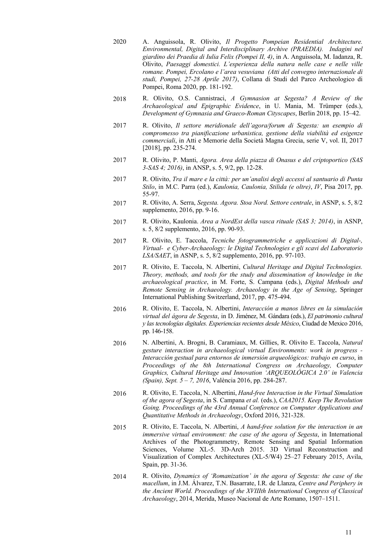2020 A. Anguissola, R. Olivito, *Il Progetto Pompeian Residential Architecture. Environmental, Digital and Interdisciplinary Archive (PRAEDIA). Indagini nel giardino dei Praedia di Iulia Felix (Pompei II, 4)*, in A. Anguissola, M. Iadanza, R. Olivito, *Paesaggi domestici. L'esperienza della natura nelle case e nelle ville romane. Pompei, Ercolano e l'area vesuviana (Atti del convegno internazionale di studi, Pompei, 27-28 Aprile 2017)*, Collana di Studi del Parco Archeologico di Pompei, Roma 2020, pp. 181-192.

- 2018 R. Olivito, O.S. Cannistraci, *A Gymnasion at Segesta? A Review of the Archaeological and Epigraphic Evidence*, in U. Mania, M. Trümper (eds.), *Development of Gymnasia and Graeco-Roman Cityscapes*, Berlin 2018, pp. 15–42.
- 2017 R. Olivito, *Il settore meridionale dell'agora/forum di Segesta: un esempio di compromesso tra pianificazione urbanistica, gestione della viabilità ed esigenze commerciali*, in Atti e Memorie della Società Magna Grecia, serie V, vol. II, 2017 [2018], pp. 235-274.
- 2017 R. Olivito, P. Manti, *Agora. Area della piazza di Onasus e del criptoportico (SAS 3-SAS 4; 2016)*, in ANSP, s. 5, 9/2, pp. 12-28.
- 2017 R. Olivito, *Tra il mare e la città: per un'analisi degli accessi al santuario di Punta Stilo*, in M.C. Parra (ed.), *Kaulonia, Caulonia, Stilida (e oltre)*, *IV*, Pisa 2017, pp. 55-97.
- 2017 R. Olivito, A. Serra, *Segesta. Agora. Stoa Nord. Settore centrale*, in ASNP, s. 5, 8/2 supplemento, 2016, pp. 9-16.
- 2017 R. Olivito, Kaulonia. *Area a NordEst della vasca rituale (SAS 3; 2014)*, in ASNP, s. 5, 8/2 supplemento, 2016, pp. 90-93.
- 2017 R. Olivito, E. Taccola, *Tecniche fotogrammetriche e applicazioni di Digital-, Virtual- e Cyber-Archaeology: le Digital Technologies e gli scavi del Laboratorio LSA/SAET*, in ASNP, s. 5, 8/2 supplemento, 2016, pp. 97-103.
- 2017 R. Olivito, E. Taccola, N. Albertini, *Cultural Heritage and Digital Technologies. Theory, methods, and tools for the study and dissemination of knowledge in the archaeological practice*, in M. Forte, S. Campana (eds.), *Digital Methods and Remote Sensing in Archaeology. Archaeology in the Age of Sensing*, Springer International Publishing Switzerland, 2017, pp. 475-494.
- 2016 R. Olivito, E. Taccola, N. Albertini, *Interacción a manos libres en la simulación virtual del ágora de Segesta*, in D. Jiménez, M. Gándara (eds.), *El patrimonio cultural y las tecnologías digitales. Experiencias recientes desde México*, Ciudad de Mexico 2016, pp. 146-158.
- 2016 N. Albertini, A. Brogni, B. Caramiaux, M. Gillies, R. Olivito E. Taccola, *Natural gesture interaction in archaeological virtual Environments: work in progress - Interacción gestual para entornos de inmersión arqueológicos: trabajo en curso*, in *Proceedings of the 8th International Congress on Archaeology, Computer Graphics, Cultural Heritage and Innovation 'ARQUEOLÓGICA 2.0' in Valencia (Spain), Sept. 5 – 7, 2016*, València 2016, pp. 284-287.
- 2016 R. Olivito, E. Taccola, N. Albertini, *Hand-free Interaction in the Virtual Simulation of the agora of Segesta*, in S. Campana *et al.* (eds.), *CAA2015. Keep The Revolution Going. Proceedings of the 43rd Annual Conference on Computer Applications and Quantitative Methods in Archaeology*, Oxford 2016, 321-328.
- 2015 R. Olivito, E. Taccola, N. Albertini, *A hand-free solution for the interaction in an immersive virtual environment: the case of the agora of Segesta*, in International Archives of the Photogrammetry, Remote Sensing and Spatial Information Sciences, Volume XL-5. 3D-Arch 2015. 3D Virtual Reconstruction and Visualization of Complex Architectures (XL-5/W4) 25–27 February 2015, Avila, Spain, pp. 31-36.
- 2014 R. Olivito, *Dynamics of 'Romanization' in the agora of Segesta: the case of the macellum*, in J.M. Álvarez, T.N. Basarrate, I.R. de Llanza, *Centre and Periphery in the Ancient World. Proceedings of the XVIIIth International Congress of Classical Archaeology*, 2014, Merida, Museo Nacional de Arte Romano, 1507–1511.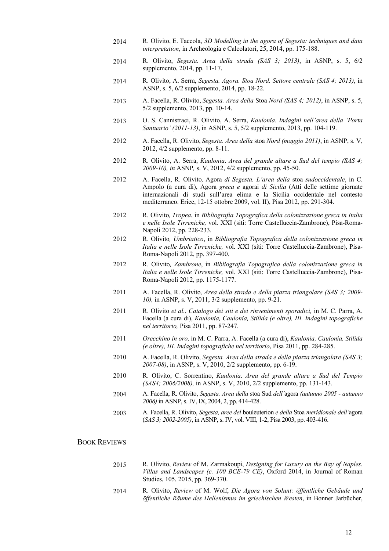- 2014 R. Olivito, E. Taccola, *3D Modelling in the agora of Segesta: techniques and data interpretation*, in Archeologia e Calcolatori, 25, 2014, pp. 175-188.
- 2014 R. Olivito, *Segesta. Area della strada (SAS 3; 2013)*, in ASNP, s. 5, 6/2 supplemento, 2014, pp. 11-17.
- 2014 R. Olivito, A. Serra, *Segesta. Agora. Stoa Nord. Settore centrale (SAS 4; 2013)*, in ASNP, s. 5, 6/2 supplemento, 2014, pp. 18-22.
- 2013 A. Facella, R. Olivito, *Segesta. Area della* Stoa *Nord (SAS 4; 2012)*, in ASNP, s. 5, 5/2 supplemento, 2013, pp. 10-14.
- 2013 O. S. Cannistraci, R. Olivito, A. Serra, *Kaulonia. Indagini nell'area della 'Porta Santuario' (2011-13)*, in ASNP, s. 5, 5/2 supplemento, 2013, pp. 104-119.
- 2012 A. Facella, R. Olivito, *Segesta*. *Area della* stoa *Nord (maggio 2011)*, in ASNP, s. V, 2012, 4/2 supplemento, pp. 8-11.
- 2012 R. Olivito, A. Serra, *Kaulonia*. *Area del grande altare a Sud del tempio (SAS 4; 2009-10), in* ASNP*,* s. V, 2012, 4/2 supplemento, pp. 45-50.
- 2012 A. Facella, R. Olivito*,* Agora *di Segesta. L'area della* stoa *sudoccidentale*, in C. Ampolo (a cura di), Agora *greca e* agorai *di Sicilia* (Atti delle settime giornate internazionali di studi sull'area elima e la Sicilia occidentale nel contesto mediterraneo. Erice, 12-15 ottobre 2009, vol. II), Pisa 2012, pp. 291-304.
- 2012 R. Olivito*, Tropea*, in *Bibliografia Topografica della colonizzazione greca in Italia e nelle Isole Tirreniche,* vol. XXI (siti: Torre Castelluccia-Zambrone), Pisa-Roma-Napoli 2012, pp. 228-233.
- 2012 R. Olivito*, Umbriatico*, in *Bibliografia Topografica della colonizzazione greca in Italia e nelle Isole Tirreniche,* vol. XXI (siti: Torre Castelluccia-Zambrone), Pisa-Roma-Napoli 2012, pp. 397-400.
- 2012 R. Olivito*, Zambrone*, in *Bibliografia Topografica della colonizzazione greca in Italia e nelle Isole Tirreniche,* vol. XXI (siti: Torre Castelluccia-Zambrone), Pisa-Roma-Napoli 2012, pp. 1175-1177.
- 2011 A. Facella, R. Olivito*, Area della strada e della piazza triangolare (SAS 3; 2009- 10),* in ASNP, s. V, 2011, 3/2 supplemento, pp. 9-21.
- 2011 R. Olivito *et al.*, *Catalogo dei siti e dei rinvenimenti sporadici,* in M. C. Parra, A. Facella (a cura di), *Kaulonia, Caulonia, Stilida (e oltre), III. Indagini topografiche nel territorio,* Pisa 2011, pp. 87-247.
- 2011 *Orecchino in oro,* in M. C. Parra, A. Facella (a cura di), *Kaulonia, Caulonia, Stilida (e oltre), III. Indagini topografiche nel territorio*, Pisa 2011, pp. 284-285.
- 2010 A. Facella, R. Olivito, *Segesta. Area della strada e della piazza triangolare (SAS 3; 2007-08)*, in ASNP, s. V, 2010, 2/2 supplemento, pp. 6-19.
- 2010 R. Olivito, C. Sorrentino, *Kaulonia*. *Area del grande altare a Sud del Tempio (SAS4; 2006/2008),* in ASNP, s. V, 2010, 2/2 supplemento, pp. 131-143.
- 2004 A. Facella, R. Olivito, *Segesta. Area della* stoa Sud *dell'*agora *(autunno 2005 - autunno 2006)* in ASNP, s. IV, IX, 2004, 2, pp. 414-428.
- 2003 A. Facella, R. Olivito, *Segesta, aree del* bouleuterion *e della* Stoa *meridionale dell'*agora (*SAS 3; 2002-2005)*, in ASNP, s. IV, vol. VIII, 1-2, Pisa 2003, pp. 403-416.

#### BOOK REVIEWS

- 2015 R. Olivito, *Review* of M. Zarmakoupi, *Designing for Luxury on the Bay of Naples. Villas and Landscapes (c. 100 BCE-79 CE)*, Oxford 2014, in Journal of Roman Studies, 105, 2015, pp. 369-370.
- 2014 R. Olivito, *Review* of M. Wolf, *Die Agora von Solunt: öffentliche Gebäude und öffentliche Räume des Hellenismus im griechischen Westen*, in Bonner Jarbücher,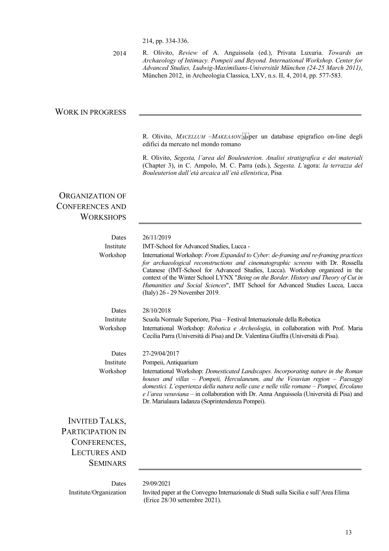214, pp. 334-336.

2014 R. Olivito, *Review* of A. Anguissola (ed.), Privata Luxuria. *Towards an Archaeology of Intimacy. Pompeii and Beyond. International Workshop. Center for Advanced Studies, Ludwig-Maximilians-Universität München (24-25 March 2011)*, München 2012, in Archeologia Classica, LXV, n.s. II, 4, 2014, pp. 577-583.

#### WORK IN PROGRESS

R. Olivito, *MACELLUM - MAKEΛΛΟΝ*: sepper un database epigrafico on-line degli edifici da mercato nel mondo romano

R. Olivito, *Segesta, l'area del Bouleuterion*. *Analisi stratigrafica e dei materiali*  (Chapter 3), in C. Ampolo, M. C. Parra (eds.), *Segesta. L'*agora: *la terrazza del Bouleuterion dall'età arcaica all'età ellenistica*, Pisa

### ORGANIZATION OF CONFERENCES AND **WORKSHOPS**

| Dates                   | 26/11/2019                                                                                                                                                                                                                                                                                                                                                                                                                                                         |
|-------------------------|--------------------------------------------------------------------------------------------------------------------------------------------------------------------------------------------------------------------------------------------------------------------------------------------------------------------------------------------------------------------------------------------------------------------------------------------------------------------|
| Institute               | IMT-School for Advanced Studies, Lucca -                                                                                                                                                                                                                                                                                                                                                                                                                           |
| Workshop                | International Workshop: From Expanded to Cyber: de-framing and re-framing practices<br>for archaeological reconstructions and cinematographic screens with Dr. Rossella<br>Catanese (IMT-School for Advanced Studies, Lucca). Workshop organized in the<br>context of the Winter School LYNX "Being on the Border. History and Theory of Cut in<br>Humanities and Social Sciences", IMT School for Advanced Studies Lucca, Lucca<br>(Italy) 26 - 29 November 2019. |
| Dates                   | 28/10/2018                                                                                                                                                                                                                                                                                                                                                                                                                                                         |
| Institute               | Scuola Normale Superiore, Pisa - Festival Internazionale della Robotica                                                                                                                                                                                                                                                                                                                                                                                            |
| Workshop                | International Workshop: Robotica e Archeologia, in collaboration with Prof. Maria<br>Cecilia Parra (Università di Pisa) and Dr. Valentina Giuffra (Università di Pisa).                                                                                                                                                                                                                                                                                            |
| Dates                   | 27-29/04/2017                                                                                                                                                                                                                                                                                                                                                                                                                                                      |
| Institute               | Pompeii, Antiquarium                                                                                                                                                                                                                                                                                                                                                                                                                                               |
| Workshop                | International Workshop: <i>Domesticated Landscapes</i> . <i>Incorporating nature in the Roman</i><br>houses and villas – Pompeii, Herculaneum, and the Vesuvian region – Paesaggi<br>domestici. L'esperienza della natura nelle case e nelle ville romane – Pompei, Ercolano<br>e l'area vesuviana – in collaboration with Dr. Anna Anguissola (Università di Pisa) and<br>Dr. Marialaura Iadanza (Soprintendenza Pompei).                                         |
| <b>INVITED TALKS,</b>   |                                                                                                                                                                                                                                                                                                                                                                                                                                                                    |
| <b>PARTICIPATION IN</b> |                                                                                                                                                                                                                                                                                                                                                                                                                                                                    |
| CONFERENCES,            |                                                                                                                                                                                                                                                                                                                                                                                                                                                                    |
| <b>LECTURES AND</b>     |                                                                                                                                                                                                                                                                                                                                                                                                                                                                    |
| <b>SEMINARS</b>         |                                                                                                                                                                                                                                                                                                                                                                                                                                                                    |
|                         |                                                                                                                                                                                                                                                                                                                                                                                                                                                                    |

#### Dates 29/09/2021

Institute/Organization Invited paper at the Convegno Internazionale di Studi sulla Sicilia e sull'Area Elima (Erice 28/30 settembre 2021).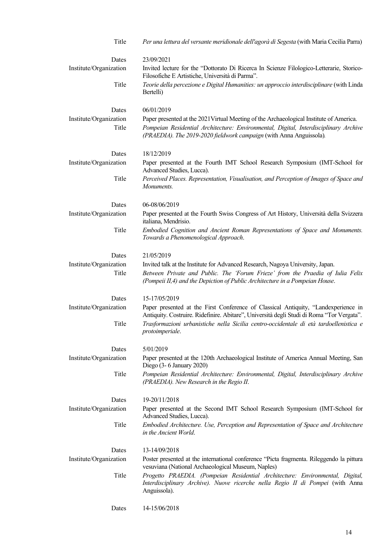| Title                           | Per una lettura del versante meridionale dell'agorà di Segesta (with Maria Cecilia Parra)                                                                                                                                                              |
|---------------------------------|--------------------------------------------------------------------------------------------------------------------------------------------------------------------------------------------------------------------------------------------------------|
| Dates                           | 23/09/2021                                                                                                                                                                                                                                             |
| Institute/Organization          | Invited lecture for the "Dottorato Di Ricerca In Scienze Filologico-Letterarie, Storico-<br>Filosofiche E Artistiche, Università di Parma".                                                                                                            |
| Title                           | Teorie della percezione e Digital Humanities: un approccio interdisciplinare (with Linda<br>Bertelli)                                                                                                                                                  |
| Dates                           | 06/01/2019                                                                                                                                                                                                                                             |
| Institute/Organization<br>Title | Paper presented at the 2021 Virtual Meeting of the Archaeological Institute of America.<br>Pompeian Residential Architecture: Environmental, Digital, Interdisciplinary Archive<br>(PRAEDIA). The 2019-2020 fieldwork campaign (with Anna Anguissola). |
| Dates                           | 18/12/2019                                                                                                                                                                                                                                             |
| Institute/Organization          | Paper presented at the Fourth IMT School Research Symposium (IMT-School for<br>Advanced Studies, Lucca).                                                                                                                                               |
| Title                           | Perceived Places. Representation, Visualisation, and Perception of Images of Space and<br>Monuments.                                                                                                                                                   |
| Dates                           | 06-08/06/2019                                                                                                                                                                                                                                          |
| Institute/Organization          | Paper presented at the Fourth Swiss Congress of Art History, Università della Svizzera<br>italiana, Mendrisio.                                                                                                                                         |
| Title                           | Embodied Cognition and Ancient Roman Representations of Space and Monuments.<br>Towards a Phenomenological Approach.                                                                                                                                   |
| Dates                           | 21/05/2019                                                                                                                                                                                                                                             |
| Institute/Organization          | Invited talk at the Institute for Advanced Research, Nagoya University, Japan.                                                                                                                                                                         |
| Title                           | Between Private and Public. The 'Forum Frieze' from the Praedia of Iulia Felix<br>(Pompeii II,4) and the Depiction of Public Architecture in a Pompeian House.                                                                                         |
| Dates                           | 15-17/05/2019                                                                                                                                                                                                                                          |
| Institute/Organization          | Paper presented at the First Conference of Classical Antiquity, "Landexperience in<br>Antiquity. Costruire. Ridefinire. Abitare", Università degli Studi di Roma "Tor Vergata".                                                                        |
| Title                           | Trasformazioni urbanistiche nella Sicilia centro-occidentale di età tardoellenistica e<br>protoimperiale.                                                                                                                                              |
| Dates                           | 5/01/2019                                                                                                                                                                                                                                              |
| Institute/Organization          | Paper presented at the 120th Archaeological Institute of America Annual Meeting, San<br>Diego (3- 6 January 2020)                                                                                                                                      |
| Title                           | Pompeian Residential Architecture: Environmental, Digital, Interdisciplinary Archive<br>(PRAEDIA). New Research in the Regio II.                                                                                                                       |
| Dates                           | 19-20/11/2018                                                                                                                                                                                                                                          |
| Institute/Organization          | Paper presented at the Second IMT School Research Symposium (IMT-School for<br>Advanced Studies, Lucca).                                                                                                                                               |
| Title                           | Embodied Architecture. Use, Perception and Representation of Space and Architecture<br>in the Ancient World.                                                                                                                                           |
| Dates                           | 13-14/09/2018                                                                                                                                                                                                                                          |
| Institute/Organization          | Poster presented at the international conference "Picta fragmenta. Rileggendo la pittura<br>vesuviana (National Archaeological Museum, Naples)                                                                                                         |
| Title                           | Progetto PRAEDIA. (Pompeian Residential Architecture: Environmental, Digital,<br>Interdisciplinary Archive). Nuove ricerche nella Regio II di Pompei (with Anna<br>Anguissola).                                                                        |
| Dates                           | 14-15/06/2018                                                                                                                                                                                                                                          |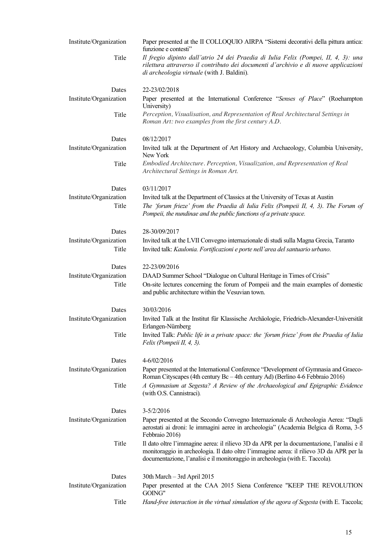| Institute/Organization          | Paper presented at the II COLLOQUIO AIRPA "Sistemi decorativi della pittura antica:<br>funzione e contesti"                                                                                                                                                             |
|---------------------------------|-------------------------------------------------------------------------------------------------------------------------------------------------------------------------------------------------------------------------------------------------------------------------|
| Title                           | Il fregio dipinto dall'atrio 24 dei Praedia di Iulia Felix (Pompei, II, 4, 3): una<br>rilettura attraverso il contributo dei documenti d'archivio e di nuove applicazioni<br>di archeologia virtuale (with J. Baldini).                                                 |
| Dates                           | 22-23/02/2018                                                                                                                                                                                                                                                           |
| Institute/Organization          | Paper presented at the International Conference "Senses of Place" (Roehampton<br>University)                                                                                                                                                                            |
| Title                           | Perception, Visualisation, and Representation of Real Architectural Settings in<br>Roman Art: two examples from the first century A.D.                                                                                                                                  |
| Dates                           | 08/12/2017                                                                                                                                                                                                                                                              |
| Institute/Organization          | Invited talk at the Department of Art History and Archaeology, Columbia University,<br>New York                                                                                                                                                                         |
| Title                           | Embodied Architecture. Perception, Visualization, and Representation of Real<br>Architectural Settings in Roman Art.                                                                                                                                                    |
| Dates                           | 03/11/2017                                                                                                                                                                                                                                                              |
| Institute/Organization<br>Title | Invited talk at the Department of Classics at the University of Texas at Austin<br>The 'forum frieze' from the Praedia di Iulia Felix (Pompeii II, 4, 3). The Forum of<br>Pompeii, the nundinae and the public functions of a private space.                            |
| Dates                           | 28-30/09/2017                                                                                                                                                                                                                                                           |
| Institute/Organization<br>Title | Invited talk at the LVII Convegno internazionale di studi sulla Magna Grecia, Taranto<br>Invited talk: Kaulonia. Fortificazioni e porte nell'area del santuario urbano.                                                                                                 |
| Dates                           | 22-23/09/2016                                                                                                                                                                                                                                                           |
| Institute/Organization<br>Title | DAAD Summer School "Dialogue on Cultural Heritage in Times of Crisis"<br>On-site lectures concerning the forum of Pompeii and the main examples of domestic<br>and public architecture within the Vesuvian town.                                                        |
| Dates                           | 30/03/2016                                                                                                                                                                                                                                                              |
| Institute/Organization          | Invited Talk at the Institut für Klassische Archäologie, Friedrich-Alexander-Universität<br>Erlangen-Nürnberg                                                                                                                                                           |
| Title                           | Invited Talk: Public life in a private space: the 'forum frieze' from the Praedia of Iulia<br>Felix (Pompeii II, 4, 3).                                                                                                                                                 |
| Dates                           | 4-6/02/2016                                                                                                                                                                                                                                                             |
| Institute/Organization          | Paper presented at the International Conference "Development of Gymnasia and Graeco-<br>Roman Cityscapes (4th century Bc – 4th century Ad) (Berlino 4-6 Febbraio 2016)                                                                                                  |
| Title                           | A Gymnasium at Segesta? A Review of the Archaeological and Epigraphic Evidence<br>(with O.S. Cannistraci).                                                                                                                                                              |
| Dates                           | $3 - 5/2/2016$                                                                                                                                                                                                                                                          |
| Institute/Organization          | Paper presented at the Secondo Convegno Internazionale di Archeologia Aerea: "Dagli<br>aerostati ai droni: le immagini aeree in archeologia" (Academia Belgica di Roma, 3-5<br>Febbraio 2016)                                                                           |
| Title                           | Il dato oltre l'immagine aerea: il rilievo 3D da APR per la documentazione, l'analisi e il<br>monitoraggio in archeologia. Il dato oltre l'immagine aerea: il rilievo 3D da APR per la<br>documentazione, l'analisi e il monitoraggio in archeologia (with E. Taccola). |
| Dates                           | 30th March - 3rd April 2015                                                                                                                                                                                                                                             |
| Institute/Organization          | Paper presented at the CAA 2015 Siena Conference "KEEP THE REVOLUTION<br>GOING"                                                                                                                                                                                         |
| Title                           | Hand-free interaction in the virtual simulation of the agora of Segesta (with E. Taccola;                                                                                                                                                                               |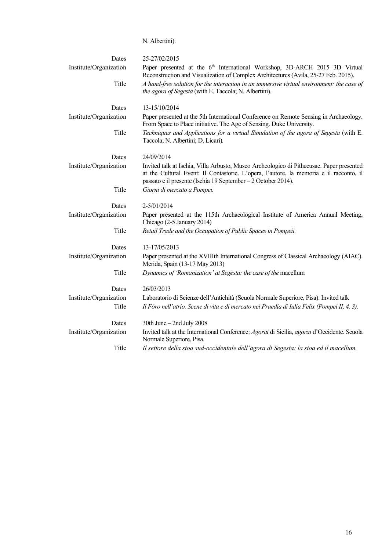N. Albertini).

| Dates                  | 25-27/02/2015                                                                                                                                                                                                                                       |
|------------------------|-----------------------------------------------------------------------------------------------------------------------------------------------------------------------------------------------------------------------------------------------------|
| Institute/Organization | Paper presented at the 6 <sup>th</sup> International Workshop, 3D-ARCH 2015 3D Virtual<br>Reconstruction and Visualization of Complex Architectures (Avila, 25-27 Feb. 2015).                                                                       |
| Title                  | A hand-free solution for the interaction in an immersive virtual environment: the case of<br>the agora of Segesta (with E. Taccola; N. Albertini).                                                                                                  |
| Dates                  | 13-15/10/2014                                                                                                                                                                                                                                       |
| Institute/Organization | Paper presented at the 5th International Conference on Remote Sensing in Archaeology.<br>From Space to Place initiative. The Age of Sensing. Duke University.                                                                                       |
| Title                  | Techniques and Applications for a virtual Simulation of the agora of Segesta (with E.<br>Taccola; N. Albertini; D. Licari).                                                                                                                         |
| Dates                  | 24/09/2014                                                                                                                                                                                                                                          |
| Institute/Organization | Invited talk at Ischia, Villa Arbusto, Museo Archeologico di Pithecusae. Paper presented<br>at the Cultural Event: Il Contastorie. L'opera, l'autore, la memoria e il racconto, il<br>passato e il presente (Ischia 19 September – 2 October 2014). |
| Title                  | Giorni di mercato a Pompei.                                                                                                                                                                                                                         |
| Dates                  | 2-5/01/2014                                                                                                                                                                                                                                         |
| Institute/Organization | Paper presented at the 115th Archaeological Institute of America Annual Meeting,<br>Chicago (2-5 January 2014)                                                                                                                                      |
| Title                  | Retail Trade and the Occupation of Public Spaces in Pompeii.                                                                                                                                                                                        |
| Dates                  | 13-17/05/2013                                                                                                                                                                                                                                       |
| Institute/Organization | Paper presented at the XVIIIth International Congress of Classical Archaeology (AIAC).<br>Merida, Spain (13-17 May 2013)                                                                                                                            |
| Title                  | Dynamics of 'Romanization' at Segesta: the case of the macellum                                                                                                                                                                                     |
| Dates                  | 26/03/2013                                                                                                                                                                                                                                          |
| Institute/Organization | Laboratorio di Scienze dell'Antichità (Scuola Normale Superiore, Pisa). Invited talk                                                                                                                                                                |
| Title                  | Il Fòro nell'atrio. Scene di vita e di mercato nei Praedia di Iulia Felix (Pompei II, 4, 3).                                                                                                                                                        |
| Dates                  | 30th June $-$ 2nd July 2008                                                                                                                                                                                                                         |
| Institute/Organization | Invited talk at the International Conference: Agorai di Sicilia, agorai d'Occidente. Scuola<br>Normale Superiore, Pisa.                                                                                                                             |
| Title                  | Il settore della stoa sud-occidentale dell'agora di Segesta: la stoa ed il macellum.                                                                                                                                                                |